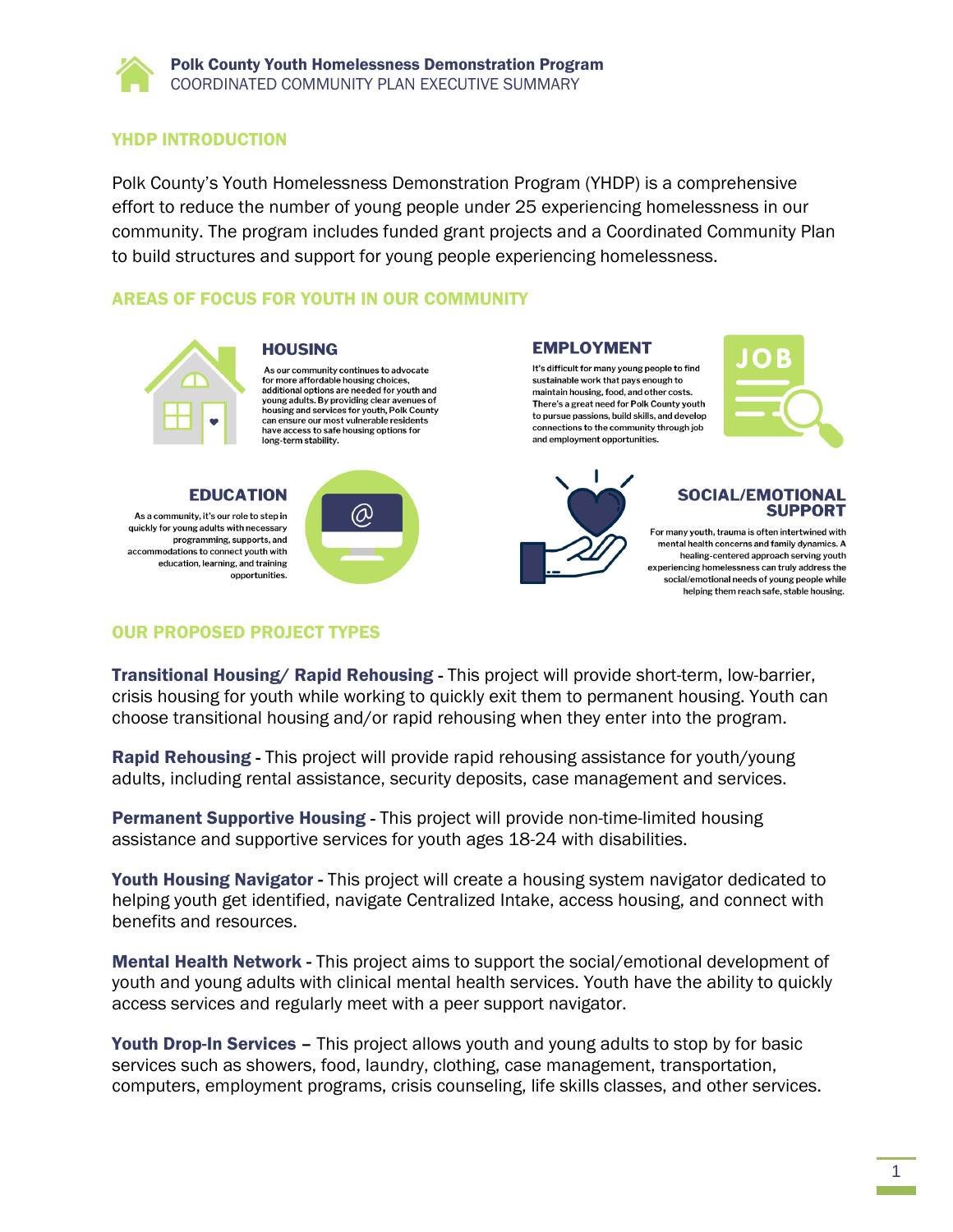## YHDP INTRODUCTION

Polk County's Youth Homelessness Demonstration Program (YHDP) is a comprehensive effort to reduce the number of young people under 25 experiencing homelessness in our community. The program includes funded grant projects and a Coordinated Community Plan to build structures and support for young people experiencing homelessness.

# AREAS OF FOCUS FOR YOUTH IN OUR COMMUNITY



### **HOUSING**

As our community continues to advocate for more affordable housing choices, additional options are needed for youth and voung adults. By providing clear avenues of housing and services for youth, Polk County can ensure our most vulnerable residents have access to safe housing options for have access to sare<br>long-term stability.



quickly for young adults with necessary programming, supports, and accommodations to connect youth with education, learning, and training opportunities.



## **EMPLOYMENT**

It's difficult for many young people to find sustainable work that pays enough to maintain housing, food, and other costs There's a great need for Polk County youth to pursue passions, build skills, and develop connections to the community through job and employment opportunities.





## **SOCIAL/EMOTIONAL SUPPORT**

For many youth, trauma is often intertwined with mental health concerns and family dynamics. A healing-centered approach serving youth experiencing homelessness can truly address the social/emotional needs of young people while helping them reach safe, stable housing.

# OUR PROPOSED PROJECT TYPES

Transitional Housing/ Rapid Rehousing - This project will provide short-term, low-barrier, crisis housing for youth while working to quickly exit them to permanent housing. Youth can choose transitional housing and/or rapid rehousing when they enter into the program.

Rapid Rehousing - This project will provide rapid rehousing assistance for youth/young adults, including rental assistance, security deposits, case management and services.

Permanent Supportive Housing - This project will provide non-time-limited housing assistance and supportive services for youth ages 18-24 with disabilities.

Youth Housing Navigator - This project will create a housing system navigator dedicated to helping youth get identified, navigate Centralized Intake, access housing, and connect with benefits and resources.

Mental Health Network - This project aims to support the social/emotional development of youth and young adults with clinical mental health services. Youth have the ability to quickly access services and regularly meet with a peer support navigator.

Youth Drop-In Services - This project allows youth and young adults to stop by for basic services such as showers, food, laundry, clothing, case management, transportation, computers, employment programs, crisis counseling, life skills classes, and other services.